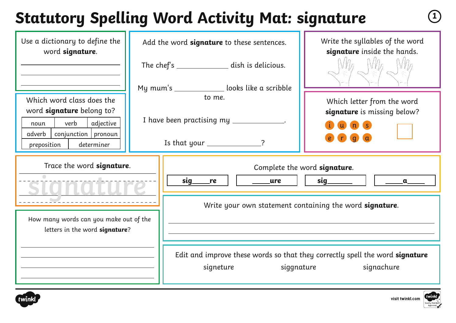# **Statutory Spelling Word Activity Mat: signature <sup>1</sup>**

| Use a dictionary to define the<br>word signature.                                           | Add the word signature to these sentences.                           | Write the syllables of the word<br>signature inside the hands.               |  |  |
|---------------------------------------------------------------------------------------------|----------------------------------------------------------------------|------------------------------------------------------------------------------|--|--|
|                                                                                             | The chef's __________________ dish is delicious.                     |                                                                              |  |  |
| Which word class does the<br>word signature belong to?                                      | My mum's _______________ looks like a scribble<br>to me.             | Which letter from the word<br>signature is missing below?                    |  |  |
| verb<br>adjective<br>noun<br>$conjunction$   pronoun<br>adverb<br>preposition<br>determiner | I have been practising my __________<br>Is that your $\frac{1}{2}$ ? |                                                                              |  |  |
| Trace the word signature.                                                                   | <b>sig</b><br>re<br>ure                                              | Complete the word signature.<br>sig<br>$\mathbf a$                           |  |  |
| How many words can you make out of the<br>letters in the word signature?                    |                                                                      | Write your own statement containing the word signature.                      |  |  |
|                                                                                             | signeture                                                            | Edit and improve these words so that they correctly spell the word signature |  |  |



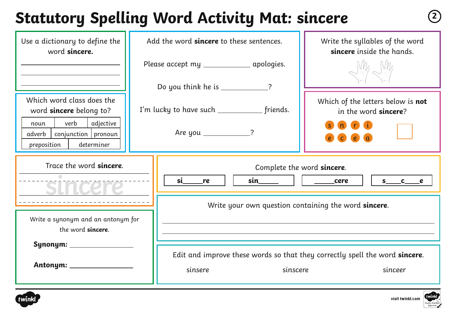### **Statutory Spelling Word Activity Mat: sincere <sup>2</sup>**

| Use a dictionary to define the<br>word sincere.                                                                                                            | Add the word sincere to these sentences.                                                                                                                                                                                                                                                | Write the syllables of the word<br>sincere inside the hands.                                                       |  |  |
|------------------------------------------------------------------------------------------------------------------------------------------------------------|-----------------------------------------------------------------------------------------------------------------------------------------------------------------------------------------------------------------------------------------------------------------------------------------|--------------------------------------------------------------------------------------------------------------------|--|--|
|                                                                                                                                                            | Please accept my ________________ apologies.<br>Do you think he is _____________?                                                                                                                                                                                                       |                                                                                                                    |  |  |
| Which word class does the<br>word <b>sincere</b> belong to?<br>verb<br>adjective<br>noun<br>$conjunction$   pronoun<br>adverb<br>preposition<br>determiner | I'm lucky to have such ______________ friends.<br>Are you _____________?                                                                                                                                                                                                                | Which of the letters below is not<br>in the word sincere?<br><b>n</b> i<br>$\mathbf{n}$<br>$\epsilon$<br>$\bullet$ |  |  |
| Trace the word sincere.                                                                                                                                    | Complete the word sincere.<br>si and the state of the state of the state of the state of the state of the state of the state of the state of the state of the state of the state of the state of the state of the state of the state of the state of the sta<br>$sin$ $  $ $cere$<br>re | $s$ c e                                                                                                            |  |  |
| Write a synonym and an antonym for<br>the word sincere.                                                                                                    |                                                                                                                                                                                                                                                                                         | Write your own question containing the word sincere.                                                               |  |  |
| Synonym: ____________                                                                                                                                      | sinsere                                                                                                                                                                                                                                                                                 | Edit and improve these words so that they correctly spell the word sincere.<br>sinscere<br>sinceer                 |  |  |



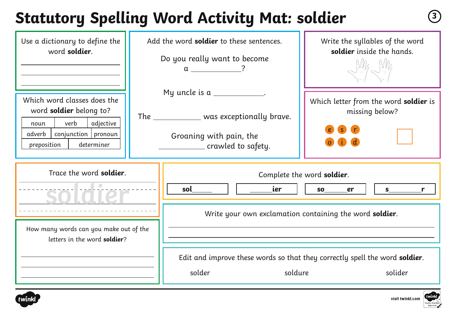### **Statutory Spelling Word Activity Mat: soldier <sup>3</sup>**

| Use a dictionary to define the<br>word soldier.                                                                                                       |  | Add the word <b>soldier</b> to these sentences.<br>Do you really want to become                                              | Write the syllables of the word<br>soldier inside the hands.                                |  |
|-------------------------------------------------------------------------------------------------------------------------------------------------------|--|------------------------------------------------------------------------------------------------------------------------------|---------------------------------------------------------------------------------------------|--|
| Which word classes does the<br>word soldier belong to?<br>verb<br>adjective<br>noun<br>$conjunction$ pronoun<br>adverb  <br>preposition<br>determiner |  | My uncle is $a$ ____________.<br>The _____________ was exceptionally brave.<br>Groaning with pain, the<br>crawled to safety. | Which letter from the word soldier is<br>missing below?                                     |  |
| Trace the word soldier.<br>SOIGTOP                                                                                                                    |  | ier i<br>sol                                                                                                                 | Complete the word soldier.<br>er<br>Write your own exclamation containing the word soldier. |  |
| How many words can you make out of the<br>letters in the word soldier?                                                                                |  | Edit and improve these words so that they correctly spell the word soldier.<br>solder<br>soldure<br>solider                  |                                                                                             |  |



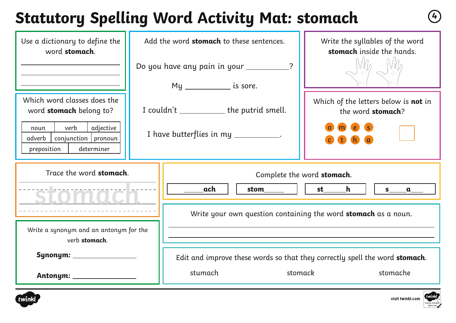# **Statutory Spelling Word Activity Mat: stomach <sup>4</sup>**

| Use a dictionary to define the<br>word stomach.                                                                                                     | Add the word stomach to these sentences.                                             | Write the syllables of the word<br>stomach inside the hands.                                       |  |  |
|-----------------------------------------------------------------------------------------------------------------------------------------------------|--------------------------------------------------------------------------------------|----------------------------------------------------------------------------------------------------|--|--|
|                                                                                                                                                     | Do you have any pain in your __________?                                             |                                                                                                    |  |  |
| Which word classes does the<br>word stomach belong to?<br>verb<br>adjective<br>noun<br>conjunction   pronoun<br>adverb<br>preposition<br>determiner | I couldn't ______________ the putrid smell.<br>I have butterflies in my ___________. | Which of the letters below is not in<br>the word stomach?                                          |  |  |
| Trace the word stomach.                                                                                                                             | ach<br>stom _____                                                                    | Complete the word stomach.<br>st________h<br>$\mathsf{S}$<br>$\mathbf{L}$<br>$\mathbf a$           |  |  |
| Write a synonym and an antonym for the<br>verb stomach.                                                                                             |                                                                                      | Write your own question containing the word stomach as a noun.                                     |  |  |
| Antonym: ____________________                                                                                                                       | stumach                                                                              | Edit and improve these words so that they correctly spell the word stomach.<br>stomack<br>stomache |  |  |